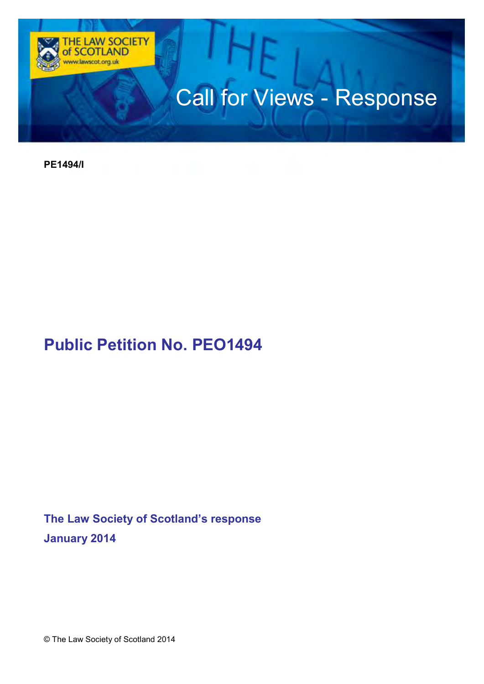

**PE1494/I** 

# **Public Petition No. PEO1494**

**The Law Society of Scotland's response January 2014** 

© The Law Society of Scotland 2014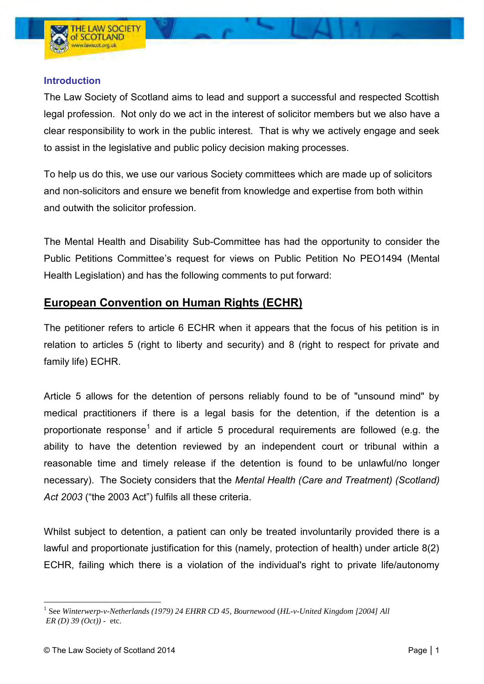#### **Introduction**

The Law Society of Scotland aims to lead and support a successful and respected Scottish legal profession. Not only do we act in the interest of solicitor members but we also have a clear responsibility to work in the public interest. That is why we actively engage and seek to assist in the legislative and public policy decision making processes.

To help us do this, we use our various Society committees which are made up of solicitors and non-solicitors and ensure we benefit from knowledge and expertise from both within and outwith the solicitor profession.

The Mental Health and Disability Sub-Committee has had the opportunity to consider the Public Petitions Committee's request for views on Public Petition No PEO1494 (Mental Health Legislation) and has the following comments to put forward:

## **European Convention on Human Rights (ECHR)**

The petitioner refers to article 6 ECHR when it appears that the focus of his petition is in relation to articles 5 (right to liberty and security) and 8 (right to respect for private and family life) ECHR.

Article 5 allows for the detention of persons reliably found to be of "unsound mind" by medical practitioners if there is a legal basis for the detention, if the detention is a proportionate response<sup>1</sup> and if article 5 procedural requirements are followed (e.g. the ability to have the detention reviewed by an independent court or tribunal within a reasonable time and timely release if the detention is found to be unlawful/no longer necessary). The Society considers that the *Mental Health (Care and Treatment) (Scotland) Act 2003* ("the 2003 Act") fulfils all these criteria.

Whilst subject to detention, a patient can only be treated involuntarily provided there is a lawful and proportionate justification for this (namely, protection of health) under article 8(2) ECHR, failing which there is a violation of the individual's right to private life/autonomy

 $\overline{a}$ 1 See *Winterwerp-v-Netherlands (1979) 24 EHRR CD 45*, *Bournewood* (*HL-v-United Kingdom [2004] All ER (D) 39 (Oct)) -* etc.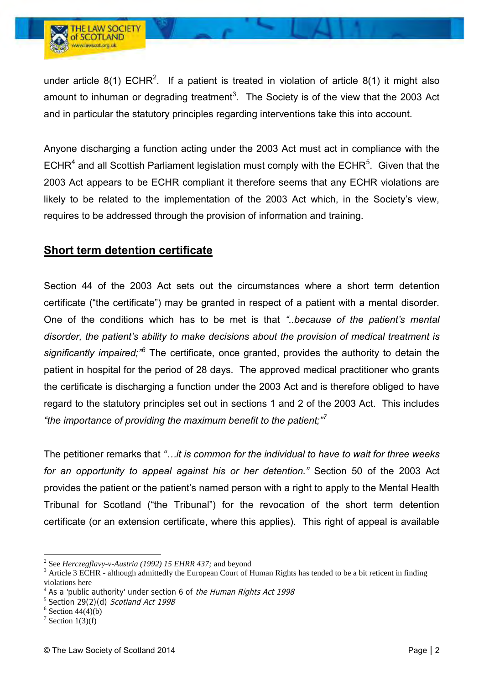

under article 8(1) ECHR<sup>2</sup>. If a patient is treated in violation of article 8(1) it might also amount to inhuman or degrading treatment<sup>3</sup>. The Society is of the view that the 2003 Act and in particular the statutory principles regarding interventions take this into account.

Anyone discharging a function acting under the 2003 Act must act in compliance with the ECHR<sup>4</sup> and all Scottish Parliament legislation must comply with the ECHR<sup>5</sup>. Given that the 2003 Act appears to be ECHR compliant it therefore seems that any ECHR violations are likely to be related to the implementation of the 2003 Act which, in the Society's view, requires to be addressed through the provision of information and training.

### **Short term detention certificate**

Section 44 of the 2003 Act sets out the circumstances where a short term detention certificate ("the certificate") may be granted in respect of a patient with a mental disorder. One of the conditions which has to be met is that *"..because of the patient's mental disorder, the patient's ability to make decisions about the provision of medical treatment is significantly impaired;"<sup>6</sup>* The certificate, once granted, provides the authority to detain the patient in hospital for the period of 28 days. The approved medical practitioner who grants the certificate is discharging a function under the 2003 Act and is therefore obliged to have regard to the statutory principles set out in sections 1 and 2 of the 2003 Act. This includes *"the importance of providing the maximum benefit to the patient;"<sup>7</sup>*

The petitioner remarks that *"…it is common for the individual to have to wait for three weeks for an opportunity to appeal against his or her detention."* Section 50 of the 2003 Act provides the patient or the patient's named person with a right to apply to the Mental Health Tribunal for Scotland ("the Tribunal") for the revocation of the short term detention certificate (or an extension certificate, where this applies). This right of appeal is available

 $\overline{a}$ 

<sup>2</sup> See *Herczegflavy-v-Austria (1992) 15 EHRR 437;* and beyond

 $3$  Article 3 ECHR - although admittedly the European Court of Human Rights has tended to be a bit reticent in finding violations here

<sup>&</sup>lt;sup>4</sup> As a 'public authority' under section 6 of the Human Rights Act 1998

<sup>&</sup>lt;sup>5</sup> Section 29(2)(d) Scotland Act 1998

 $6$  Section 44(4)(b)

<sup>&</sup>lt;sup>7</sup> Section 1(3)(f)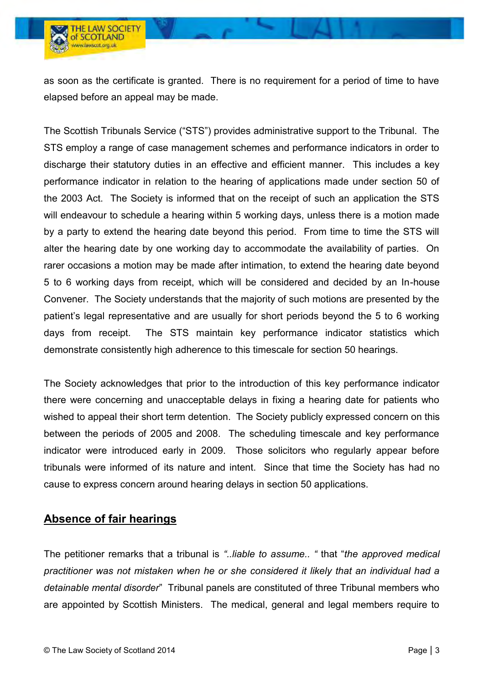as soon as the certificate is granted. There is no requirement for a period of time to have elapsed before an appeal may be made.

The Scottish Tribunals Service ("STS") provides administrative support to the Tribunal. The STS employ a range of case management schemes and performance indicators in order to discharge their statutory duties in an effective and efficient manner. This includes a key performance indicator in relation to the hearing of applications made under section 50 of the 2003 Act. The Society is informed that on the receipt of such an application the STS will endeavour to schedule a hearing within 5 working days, unless there is a motion made by a party to extend the hearing date beyond this period. From time to time the STS will alter the hearing date by one working day to accommodate the availability of parties. On rarer occasions a motion may be made after intimation, to extend the hearing date beyond 5 to 6 working days from receipt, which will be considered and decided by an In-house Convener. The Society understands that the majority of such motions are presented by the patient's legal representative and are usually for short periods beyond the 5 to 6 working days from receipt. The STS maintain key performance indicator statistics which demonstrate consistently high adherence to this timescale for section 50 hearings.

The Society acknowledges that prior to the introduction of this key performance indicator there were concerning and unacceptable delays in fixing a hearing date for patients who wished to appeal their short term detention. The Society publicly expressed concern on this between the periods of 2005 and 2008. The scheduling timescale and key performance indicator were introduced early in 2009. Those solicitors who regularly appear before tribunals were informed of its nature and intent. Since that time the Society has had no cause to express concern around hearing delays in section 50 applications.

## **Absence of fair hearings**

The petitioner remarks that a tribunal is *"..liable to assume.. "* that "*the approved medical practitioner was not mistaken when he or she considered it likely that an individual had a detainable mental disorder*" Tribunal panels are constituted of three Tribunal members who are appointed by Scottish Ministers. The medical, general and legal members require to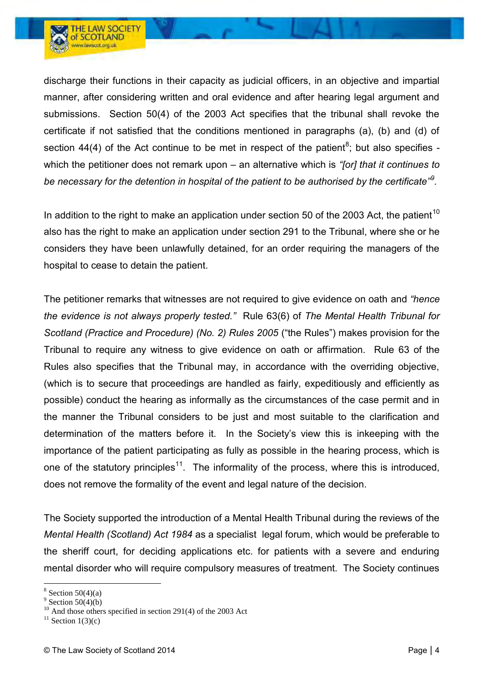

In addition to the right to make an application under section 50 of the 2003 Act, the patient<sup>10</sup> also has the right to make an application under section 291 to the Tribunal, where she or he considers they have been unlawfully detained, for an order requiring the managers of the hospital to cease to detain the patient.

The petitioner remarks that witnesses are not required to give evidence on oath and *"hence the evidence is not always properly tested."* Rule 63(6) of *The Mental Health Tribunal for Scotland (Practice and Procedure) (No. 2) Rules 2005* ("the Rules") makes provision for the Tribunal to require any witness to give evidence on oath or affirmation. Rule 63 of the Rules also specifies that the Tribunal may, in accordance with the overriding objective, (which is to secure that proceedings are handled as fairly, expeditiously and efficiently as possible) conduct the hearing as informally as the circumstances of the case permit and in the manner the Tribunal considers to be just and most suitable to the clarification and determination of the matters before it. In the Society's view this is inkeeping with the importance of the patient participating as fully as possible in the hearing process, which is one of the statutory principles<sup>11</sup>. The informality of the process, where this is introduced, does not remove the formality of the event and legal nature of the decision.

The Society supported the introduction of a Mental Health Tribunal during the reviews of the *Mental Health (Scotland) Act 1984* as a specialist legal forum, which would be preferable to the sheriff court, for deciding applications etc. for patients with a severe and enduring mental disorder who will require compulsory measures of treatment. The Society continues

 $\overline{a}$ 

**THE LAW SOCIETY** of SCOTLAND ww.lawscot.org.uk

 $8$  Section 50(4)(a)

 $9$  Section 50(4)(b)

<sup>&</sup>lt;sup>10</sup> And those others specified in section 291(4) of the 2003 Act

 $11$  Section 1(3)(c)